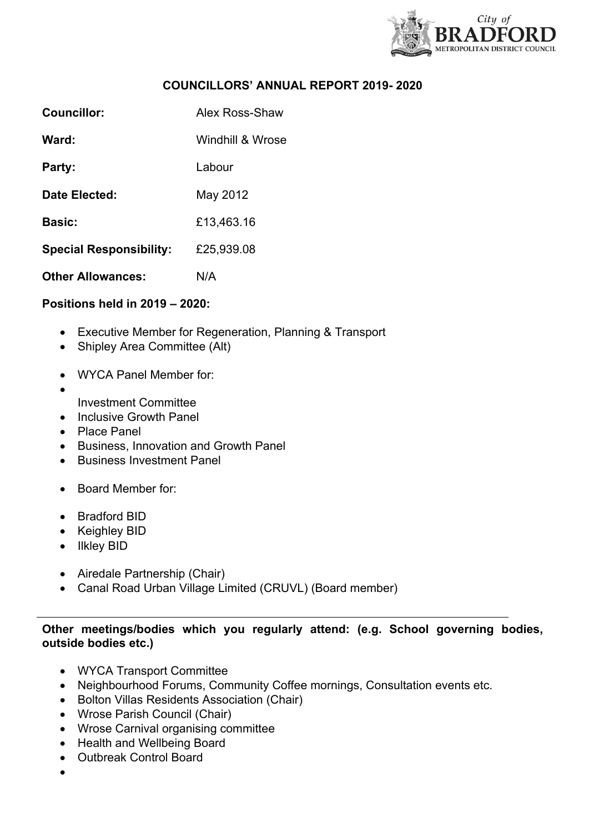

# **COUNCILLORS' ANNUAL REPORT 2019- 2020**

| Councillor:                    | Alex Ross-Shaw   |
|--------------------------------|------------------|
| Ward:                          | Windhill & Wrose |
| Party:                         | I abour          |
| Date Elected:                  | May 2012         |
| <b>Basic:</b>                  | £13,463.16       |
| <b>Special Responsibility:</b> | £25,939.08       |
| <b>Other Allowances:</b>       | N/A              |

## **Positions held in 2019 – 2020:**

- Executive Member for Regeneration, Planning & Transport
- Shipley Area Committee (Alt)
- WYCA Panel Member for:
- $\bullet$ Investment Committee
- Inclusive Growth Panel
- Place Panel
- Business, Innovation and Growth Panel
- Business Investment Panel
- Board Member for:
- Bradford BID
- Keighley BID
- Ilkley BID
- Airedale Partnership (Chair)
- Canal Road Urban Village Limited (CRUVL) (Board member)

## **Other meetings/bodies which you regularly attend: (e.g. School governing bodies, outside bodies etc.)**

- WYCA Transport Committee
- Neighbourhood Forums, Community Coffee mornings, Consultation events etc.
- Bolton Villas Residents Association (Chair)
- Wrose Parish Council (Chair)
- Wrose Carnival organising committee
- Health and Wellbeing Board
- Outbreak Control Board
- $\bullet$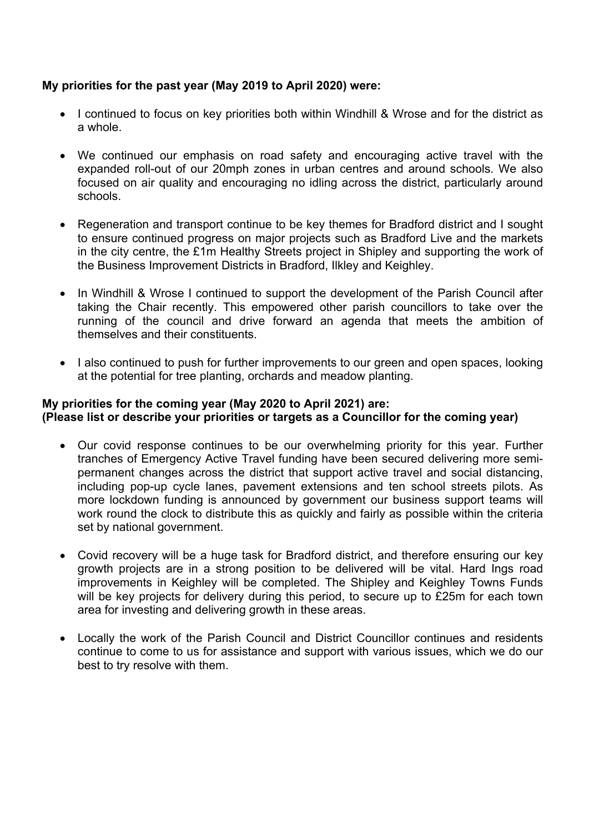# **My priorities for the past year (May 2019 to April 2020) were:**

- I continued to focus on key priorities both within Windhill & Wrose and for the district as a whole.
- We continued our emphasis on road safety and encouraging active travel with the expanded roll-out of our 20mph zones in urban centres and around schools. We also focused on air quality and encouraging no idling across the district, particularly around schools.
- Regeneration and transport continue to be key themes for Bradford district and I sought to ensure continued progress on major projects such as Bradford Live and the markets in the city centre, the £1m Healthy Streets project in Shipley and supporting the work of the Business Improvement Districts in Bradford, Ilkley and Keighley.
- In Windhill & Wrose I continued to support the development of the Parish Council after taking the Chair recently. This empowered other parish councillors to take over the running of the council and drive forward an agenda that meets the ambition of themselves and their constituents.
- I also continued to push for further improvements to our green and open spaces, looking at the potential for tree planting, orchards and meadow planting.

## **My priorities for the coming year (May 2020 to April 2021) are: (Please list or describe your priorities or targets as a Councillor for the coming year)**

- Our covid response continues to be our overwhelming priority for this year. Further tranches of Emergency Active Travel funding have been secured delivering more semipermanent changes across the district that support active travel and social distancing, including pop-up cycle lanes, pavement extensions and ten school streets pilots. As more lockdown funding is announced by government our business support teams will work round the clock to distribute this as quickly and fairly as possible within the criteria set by national government.
- Covid recovery will be a huge task for Bradford district, and therefore ensuring our key growth projects are in a strong position to be delivered will be vital. Hard Ings road improvements in Keighley will be completed. The Shipley and Keighley Towns Funds will be key projects for delivery during this period, to secure up to £25m for each town area for investing and delivering growth in these areas.
- Locally the work of the Parish Council and District Councillor continues and residents continue to come to us for assistance and support with various issues, which we do our best to try resolve with them.